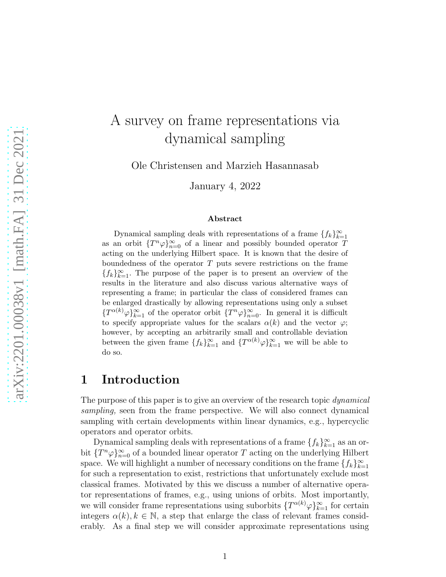# A survey on frame representations via dynamical sampling

Ole Christensen and Marzieh Hasannasab

January 4, 2022

#### Abstract

Dynamical sampling deals with representations of a frame  $\{f_k\}_{k=1}^{\infty}$ as an orbit  $\{T^n\varphi\}_{n=0}^{\infty}$  of a linear and possibly bounded operator T acting on the underlying Hilbert space. It is known that the desire of boundedness of the operator T puts severe restrictions on the frame  ${f_k}_{k=1}^{\infty}$ . The purpose of the paper is to present an overview of the results in the literature and also discuss various alternative ways of representing a frame; in particular the class of considered frames can be enlarged drastically by allowing representations using only a subset  $\{T^{\alpha(k)}\varphi\}_{k=1}^{\infty}$  of the operator orbit  $\{T^{n}\varphi\}_{n=0}^{\infty}$ . In general it is difficult to specify appropriate values for the scalars  $\alpha(k)$  and the vector  $\varphi$ ; however, by accepting an arbitrarily small and controllable deviation between the given frame  $\{f_k\}_{k=1}^{\infty}$  and  $\{T^{\alpha(k)}\varphi\}_{k=1}^{\infty}$  we will be able to do so.

### 1 Introduction

The purpose of this paper is to give an overview of the research topic *dynamical* sampling, seen from the frame perspective. We will also connect dynamical sampling with certain developments within linear dynamics, e.g., hypercyclic operators and operator orbits.

Dynamical sampling deals with representations of a frame  $\{f_k\}_{k=1}^{\infty}$  as an orbit  ${T^n \varphi}_{n=0}^{\infty}$  of a bounded linear operator T acting on the underlying Hilbert space. We will highlight a number of necessary conditions on the frame  $\{f_k\}_{k=1}^{\infty}$ for such a representation to exist, restrictions that unfortunately exclude most classical frames. Motivated by this we discuss a number of alternative operator representations of frames, e.g., using unions of orbits. Most importantly, we will consider frame representations using suborbits  $\{T^{\alpha(k)}\varphi\}_{k=1}^{\infty}$  for certain integers  $\alpha(k)$ ,  $k \in \mathbb{N}$ , a step that enlarge the class of relevant frames considerably. As a final step we will consider approximate representations using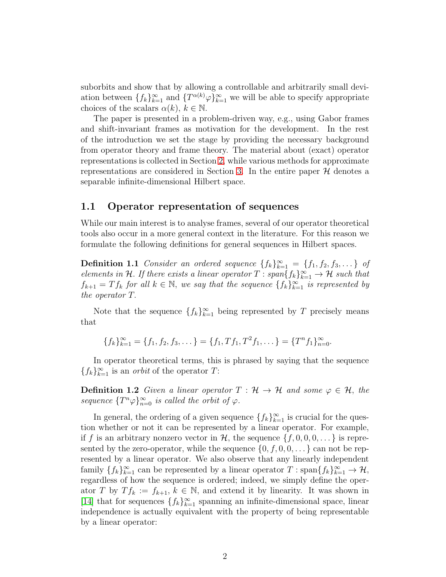suborbits and show that by allowing a controllable and arbitrarily small deviation between  $\{f_k\}_{k=1}^{\infty}$  and  $\{T^{\alpha(k)}\varphi\}_{k=1}^{\infty}$  we will be able to specify appropriate choices of the scalars  $\alpha(k)$ ,  $k \in \mathbb{N}$ .

The paper is presented in a problem-driven way, e.g., using Gabor frames and shift-invariant frames as motivation for the development. In the rest of the introduction we set the stage by providing the necessary background from operator theory and frame theory. The material about (exact) operator representations is collected in Section [2,](#page-7-0) while various methods for approximate representations are considered in Section [3.](#page-16-0) In the entire paper  $\mathcal H$  denotes a separable infinite-dimensional Hilbert space.

### 1.1 Operator representation of sequences

While our main interest is to analyse frames, several of our operator theoretical tools also occur in a more general context in the literature. For this reason we formulate the following definitions for general sequences in Hilbert spaces.

**Definition 1.1** Consider an ordered sequence  $\{f_k\}_{k=1}^{\infty} = \{f_1, f_2, f_3, \dots\}$  of elements in H. If there exists a linear operator  $T: span\{f_k\}_{k=1}^{\infty} \to \mathcal{H}$  such that  $f_{k+1} = Tf_k$  for all  $k \in \mathbb{N}$ , we say that the sequence  $\{f_k\}_{k=1}^{\infty}$  is represented by the operator T.

Note that the sequence  $\{f_k\}_{k=1}^{\infty}$  being represented by T precisely means that

$$
\{f_k\}_{k=1}^{\infty} = \{f_1, f_2, f_3, \dots\} = \{f_1, Tf_1, T^2f_1, \dots\} = \{T^n f_1\}_{n=0}^{\infty}.
$$

In operator theoretical terms, this is phrased by saying that the sequence  ${f_k}_{k=1}^{\infty}$  is an *orbit* of the operator T:

**Definition 1.2** Given a linear operator  $T : \mathcal{H} \to \mathcal{H}$  and some  $\varphi \in \mathcal{H}$ , the sequence  $\{T^n\varphi\}_{n=0}^{\infty}$  is called the orbit of  $\varphi$ .

<span id="page-1-0"></span>In general, the ordering of a given sequence  $\{f_k\}_{k=1}^{\infty}$  is crucial for the question whether or not it can be represented by a linear operator. For example, if f is an arbitrary nonzero vector in H, the sequence  $\{f, 0, 0, 0, \dots\}$  is represented by the zero-operator, while the sequence  $\{0, f, 0, 0, \ldots\}$  can not be represented by a linear operator. We also observe that any linearly independent family  $\{f_k\}_{k=1}^{\infty}$  can be represented by a linear operator  $T: span\{f_k\}_{k=1}^{\infty} \to \mathcal{H}$ , regardless of how the sequence is ordered; indeed, we simply define the operator T by  $T f_k := f_{k+1}, k \in \mathbb{N}$ , and extend it by linearity. It was shown in [\[14\]](#page-20-0) that for sequences  $\{f_k\}_{k=1}^{\infty}$  spanning an infinite-dimensional space, linear independence is actually equivalent with the property of being representable by a linear operator: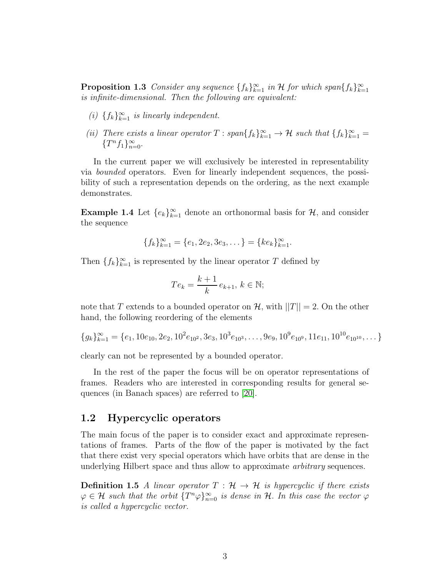**Proposition 1.3** Consider any sequence  $\{f_k\}_{k=1}^{\infty}$  in H for which span $\{f_k\}_{k=1}^{\infty}$ is infinite-dimensional. Then the following are equivalent:

- (i)  $\{f_k\}_{k=1}^{\infty}$  is linearly independent.
- (ii) There exists a linear operator  $T: span{f_k}_{k=1}^{\infty} \to \mathcal{H}$  such that  ${f_k}_{k=1}^{\infty}$  ${T^n f_1}_{n=0}^{\infty}$ .

In the current paper we will exclusively be interested in representability via bounded operators. Even for linearly independent sequences, the possibility of such a representation depends on the ordering, as the next example demonstrates.

<span id="page-2-1"></span>**Example 1.4** Let  $\{e_k\}_{k=1}^{\infty}$  denote an orthonormal basis for  $\mathcal{H}$ , and consider the sequence

$$
\{f_k\}_{k=1}^{\infty} = \{e_1, 2e_2, 3e_3, \dots\} = \{ke_k\}_{k=1}^{\infty}.
$$

Then  $\{f_k\}_{k=1}^{\infty}$  is represented by the linear operator T defined by

$$
Te_k = \frac{k+1}{k} e_{k+1}, k \in \mathbb{N};
$$

note that T extends to a bounded operator on  $\mathcal{H}$ , with  $||T|| = 2$ . On the other hand, the following reordering of the elements

$$
\{g_k\}_{k=1}^{\infty} = \{e_1, 10e_{10}, 2e_2, 10^2e_{10^2}, 3e_3, 10^3e_{10^3}, \dots, 9e_9, 10^9e_{10^9}, 11e_{11}, 10^{10}e_{10^{10}}, \dots\}
$$

clearly can not be represented by a bounded operator.

In the rest of the paper the focus will be on operator representations of frames. Readers who are interested in corresponding results for general sequences (in Banach spaces) are referred to [\[20\]](#page-20-1).

### <span id="page-2-0"></span>1.2 Hypercyclic operators

The main focus of the paper is to consider exact and approximate representations of frames. Parts of the flow of the paper is motivated by the fact that there exist very special operators which have orbits that are dense in the underlying Hilbert space and thus allow to approximate arbitrary sequences.

**Definition 1.5** A linear operator  $T : \mathcal{H} \to \mathcal{H}$  is hypercyclic if there exists  $\varphi \in \mathcal{H}$  such that the orbit  $\{T^n\varphi\}_{n=0}^{\infty}$  is dense in  $\mathcal{H}$ . In this case the vector  $\varphi$ is called a hypercyclic vector.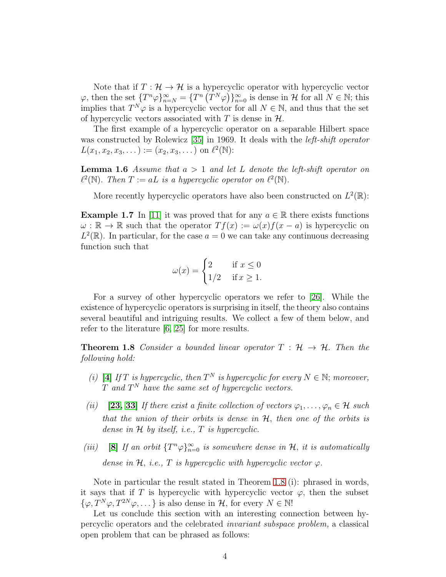Note that if  $T : \mathcal{H} \to \mathcal{H}$  is a hypercyclic operator with hypercyclic vector  $\varphi$ , then the set  ${T^n \varphi}_{n=N}^{\infty} = {T^n (T^N \varphi)}_{n=0}^{\infty}$  is dense in H for all  $N \in \mathbb{N}$ ; this implies that  $T^N \varphi$  is a hypercyclic vector for all  $N \in \mathbb{N}$ , and thus that the set of hypercyclic vectors associated with T is dense in  $H$ .

The first example of a hypercyclic operator on a separable Hilbert space was constructed by Rolewicz [\[35\]](#page-21-0) in 1969. It deals with the left-shift operator  $L(x_1, x_2, x_3, ...) := (x_2, x_3, ...)$  on  $\ell^2(\mathbb{N})$ :

**Lemma 1.6** Assume that  $a > 1$  and let L denote the left-shift operator on  $\ell^2(\mathbb{N})$ . Then  $T := aL$  is a hypercyclic operator on  $\ell^2(\mathbb{N})$ .

More recently hypercyclic operators have also been constructed on  $L^2(\mathbb{R})$ :

**Example 1.7** In [\[11\]](#page-20-2) it was proved that for any  $a \in \mathbb{R}$  there exists functions  $\omega : \mathbb{R} \to \mathbb{R}$  such that the operator  $Tf(x) := \omega(x)f(x-a)$  is hypercyclic on  $L^2(\mathbb{R})$ . In particular, for the case  $a=0$  we can take any continuous decreasing function such that

$$
\omega(x) = \begin{cases} 2 & \text{if } x \le 0 \\ 1/2 & \text{if } x \ge 1. \end{cases}
$$

For a survey of other hypercyclic operators we refer to [\[26\]](#page-21-1). While the existence of hypercyclic operators is surprising in itself, the theory also contains several beautiful and intriguing results. We collect a few of them below, and refer to the literature [\[6,](#page-19-0) [25\]](#page-21-2) for more results.

<span id="page-3-0"></span>**Theorem 1.8** Consider a bounded linear operator  $T : \mathcal{H} \to \mathcal{H}$ . Then the following hold:

- (i) [\[4\]](#page-19-1) If T is hypercyclic, then  $T^N$  is hypercyclic for every  $N \in \mathbb{N}$ ; moreover,  $T$  and  $T^N$  have the same set of hypercyclic vectors.
- (ii) [\[23,](#page-20-3) [33\]](#page-21-3) If there exist a finite collection of vectors  $\varphi_1, \ldots, \varphi_n \in \mathcal{H}$  such that the union of their orbits is dense in  $H$ , then one of the orbits is dense in  $H$  by itself, i.e.,  $T$  is hypercyclic.
- (iii) [\[8\]](#page-19-2) If an orbit  $\{T^n\varphi\}_{n=0}^{\infty}$  is somewhere dense in  $\mathcal{H}$ , it is automatically dense in H, i.e., T is hypercyclic with hypercyclic vector  $\varphi$ .

Note in particular the result stated in Theorem [1.8](#page-3-0) (i): phrased in words, it says that if T is hypercyclic with hypercyclic vector  $\varphi$ , then the subset  $\{\varphi, T^N\varphi, T^{2N}\varphi, \dots\}$  is also dense in  $\mathcal{H}$ , for every  $N \in \mathbb{N}!$ 

Let us conclude this section with an interesting connection between hypercyclic operators and the celebrated invariant subspace problem, a classical open problem that can be phrased as follows: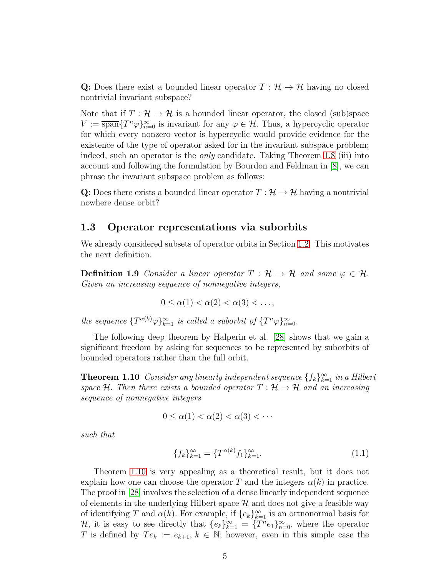Q: Does there exist a bounded linear operator  $T : \mathcal{H} \to \mathcal{H}$  having no closed nontrivial invariant subspace?

Note that if  $T : \mathcal{H} \to \mathcal{H}$  is a bounded linear operator, the closed (sub)space  $V := \overline{\text{span}} \{T^n \varphi\}_{n=0}^{\infty}$  is invariant for any  $\varphi \in \mathcal{H}$ . Thus, a hypercyclic operator for which every nonzero vector is hypercyclic would provide evidence for the existence of the type of operator asked for in the invariant subspace problem; indeed, such an operator is the *only* candidate. Taking Theorem [1.8](#page-3-0) (iii) into account and following the formulation by Bourdon and Feldman in [\[8\]](#page-19-2), we can phrase the invariant subspace problem as follows:

Q: Does there exists a bounded linear operator  $T : \mathcal{H} \to \mathcal{H}$  having a nontrivial nowhere dense orbit?

### 1.3 Operator representations via suborbits

We already considered subsets of operator orbits in Section [1.2.](#page-2-0) This motivates the next definition.

**Definition 1.9** Consider a linear operator  $T : \mathcal{H} \to \mathcal{H}$  and some  $\varphi \in \mathcal{H}$ . Given an increasing sequence of nonnegative integers,

$$
0 \leq \alpha(1) < \alpha(2) < \alpha(3) < \ldots,
$$

the sequence  $\{T^{\alpha(k)}\varphi\}_{k=1}^{\infty}$  is called a suborbit of  $\{T^{n}\varphi\}_{n=0}^{\infty}$ .

The following deep theorem by Halperin et al. [\[28\]](#page-21-4) shows that we gain a significant freedom by asking for sequences to be represented by suborbits of bounded operators rather than the full orbit.

<span id="page-4-0"></span>**Theorem 1.10** Consider any linearly independent sequence  $\{f_k\}_{k=1}^{\infty}$  in a Hilbert space H. Then there exists a bounded operator  $T : \mathcal{H} \to \mathcal{H}$  and an increasing sequence of nonnegative integers

$$
0 \le \alpha(1) < \alpha(2) < \alpha(3) < \cdots
$$

such that

$$
\{f_k\}_{k=1}^{\infty} = \{T^{\alpha(k)}f_1\}_{k=1}^{\infty}.
$$
\n(1.1)

Theorem [1.10](#page-4-0) is very appealing as a theoretical result, but it does not explain how one can choose the operator T and the integers  $\alpha(k)$  in practice. The proof in [\[28\]](#page-21-4) involves the selection of a dense linearly independent sequence of elements in the underlying Hilbert space  $\mathcal H$  and does not give a feasible way of identifying T and  $\alpha(k)$ . For example, if  $\{e_k\}_{k=1}^{\infty}$  is an ortnonormal basis for  $\mathcal{H}$ , it is easy to see directly that  $\{e_k\}_{k=1}^{\infty} = \{T^n e_1\}_{n=0}^{\infty}$ , where the operator T is defined by  $Te_k := e_{k+1}, k \in \mathbb{N}$ ; however, even in this simple case the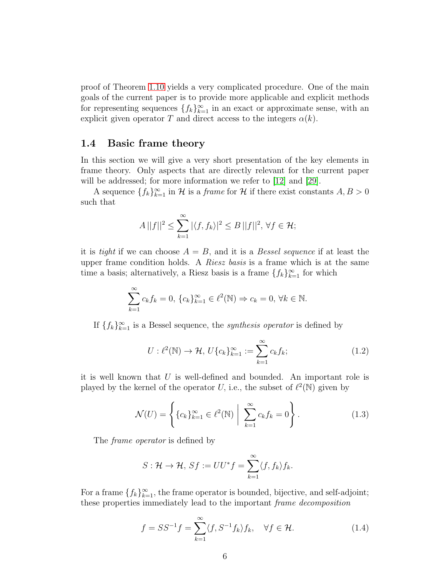proof of Theorem [1.10](#page-4-0) yields a very complicated procedure. One of the main goals of the current paper is to provide more applicable and explicit methods for representing sequences  $\{f_k\}_{k=1}^{\infty}$  in an exact or approximate sense, with an explicit given operator T and direct access to the integers  $\alpha(k)$ .

### <span id="page-5-0"></span>1.4 Basic frame theory

In this section we will give a very short presentation of the key elements in frame theory. Only aspects that are directly relevant for the current paper will be addressed; for more information we refer to [\[12\]](#page-20-4) and [\[29\]](#page-21-5).

A sequence  $\{f_k\}_{k=1}^{\infty}$  in  $\mathcal H$  is a *frame* for  $\mathcal H$  if there exist constants  $A, B > 0$ such that

$$
A||f||^2 \le \sum_{k=1}^{\infty} |\langle f, f_k \rangle|^2 \le B||f||^2, \,\forall f \in \mathcal{H};
$$

it is tight if we can choose  $A = B$ , and it is a Bessel sequence if at least the upper frame condition holds. A *Riesz basis* is a frame which is at the same time a basis; alternatively, a Riesz basis is a frame  $\{f_k\}_{k=1}^{\infty}$  for which

$$
\sum_{k=1}^{\infty} c_k f_k = 0, \{c_k\}_{k=1}^{\infty} \in \ell^2(\mathbb{N}) \Rightarrow c_k = 0, \forall k \in \mathbb{N}.
$$

If  $\{f_k\}_{k=1}^{\infty}$  is a Bessel sequence, the *synthesis operator* is defined by

$$
U: \ell^2(\mathbb{N}) \to \mathcal{H}, \ U\{c_k\}_{k=1}^{\infty} := \sum_{k=1}^{\infty} c_k f_k; \tag{1.2}
$$

it is well known that  $U$  is well-defined and bounded. An important role is played by the kernel of the operator U, i.e., the subset of  $\ell^2(\mathbb{N})$  given by

$$
\mathcal{N}(U) = \left\{ \{c_k\}_{k=1}^{\infty} \in \ell^2(\mathbb{N}) \; \middle| \; \sum_{k=1}^{\infty} c_k f_k = 0 \right\}.
$$
 (1.3)

The *frame operator* is defined by

$$
S: \mathcal{H} \to \mathcal{H}, \, Sf := UU^*f = \sum_{k=1}^{\infty} \langle f, f_k \rangle f_k.
$$

For a frame  $\{f_k\}_{k=1}^{\infty}$ , the frame operator is bounded, bijective, and self-adjoint; these properties immediately lead to the important frame decomposition

$$
f = SS^{-1}f = \sum_{k=1}^{\infty} \langle f, S^{-1}f_k \rangle f_k, \quad \forall f \in \mathcal{H}.
$$
 (1.4)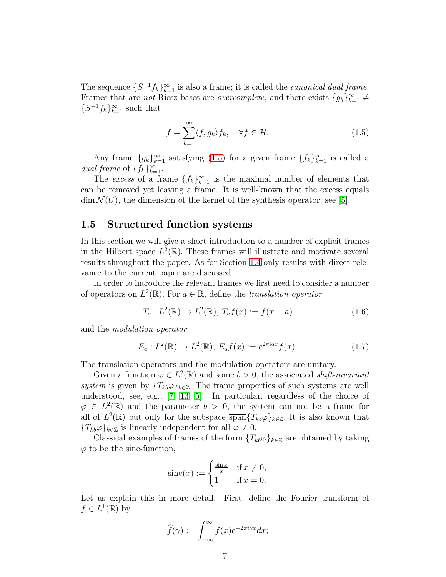The sequence  $\{S^{-1}f_k\}_{k=1}^{\infty}$  is also a frame; it is called the *canonical dual frame*. Frames that are *not* Riesz bases are *overcomplete*, and there exists  ${g_k}_{k=1}^{\infty} \neq$  $\{S^{-1}f_k\}_{k=1}^{\infty}$  such that

<span id="page-6-0"></span>
$$
f = \sum_{k=1}^{\infty} \langle f, g_k \rangle f_k, \quad \forall f \in \mathcal{H}.
$$
 (1.5)

Any frame  ${g_k}_{k=1}^{\infty}$  satisfying [\(1.5\)](#page-6-0) for a given frame  ${f_k}_{k=1}^{\infty}$  is called a dual frame of  $\{f_k\}_{k=1}^{\infty}$ .

The excess of a frame  $\{f_k\}_{k=1}^{\infty}$  is the maximal number of elements that can be removed yet leaving a frame. It is well-known that the excess equals  $\dim \mathcal{N}(U)$ , the dimension of the kernel of the synthesis operator; see [\[5\]](#page-19-3).

### <span id="page-6-1"></span>1.5 Structured function systems

In this section we will give a short introduction to a number of explicit frames in the Hilbert space  $L^2(\mathbb{R})$ . These frames will illustrate and motivate several results throughout the paper. As for Section [1.4](#page-5-0) only results with direct relevance to the current paper are discussed.

In order to introduce the relevant frames we first need to consider a number of operators on  $L^2(\mathbb{R})$ . For  $a \in \mathbb{R}$ , define the *translation operator* 

$$
T_a: L^2(\mathbb{R}) \to L^2(\mathbb{R}), T_a f(x) := f(x - a)
$$
\n(1.6)

and the modulation operator

$$
E_a: L^2(\mathbb{R}) \to L^2(\mathbb{R}), \ E_a f(x) := e^{2\pi i a x} f(x).
$$
 (1.7)

The translation operators and the modulation operators are unitary.

Given a function  $\varphi \in L^2(\mathbb{R})$  and some  $b > 0$ , the associated *shift-invariant* system is given by  ${T_{kb}\varphi}_{k\in\mathbb{Z}}$ . The frame properties of such systems are well understood, see, e.g., [\[7,](#page-19-4) [13,](#page-20-5) [5\]](#page-19-3). In particular, regardless of the choice of  $\varphi \in L^2(\mathbb{R})$  and the parameter  $b > 0$ , the system can not be a frame for all of  $L^2(\mathbb{R})$  but only for the subspace  $\overline{\text{span}}\{T_{kb}\varphi\}_{k\in\mathbb{Z}}$ . It is also known that  ${T_{kb}\varphi}_{k\in\mathbb{Z}}$  is linearly independent for all  $\varphi \neq 0$ .

Classical examples of frames of the form  ${T_{kb}\varphi}_{k\in\mathbb{Z}}$  are obtained by taking  $\varphi$  to be the sinc-function,

$$
\operatorname{sinc}(x) := \begin{cases} \frac{\sin x}{x} & \text{if } x \neq 0, \\ 1 & \text{if } x = 0. \end{cases}
$$

Let us explain this in more detail. First, define the Fourier transform of  $f \in L^1(\mathbb{R})$  by

$$
\widehat{f}(\gamma) := \int_{-\infty}^{\infty} f(x) e^{-2\pi i \gamma x} dx;
$$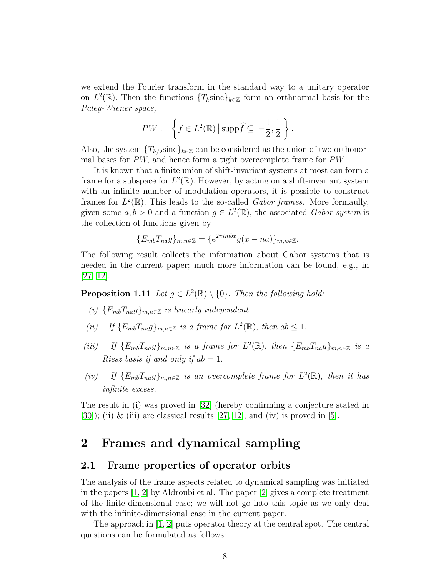we extend the Fourier transform in the standard way to a unitary operator on  $L^2(\mathbb{R})$ . Then the functions  $\{T_k\text{sinc}\}_{k\in\mathbb{Z}}$  form an orthnormal basis for the Paley-Wiener space,

$$
PW := \left\{ f \in L^2(\mathbb{R}) \, \middle| \, \mathrm{supp} \widehat{f} \subseteq \left[ -\frac{1}{2}, \frac{1}{2} \right] \right\}.
$$

Also, the system  ${T_{k/2} \text{sin} c}_{k \in \mathbb{Z}}$  can be considered as the union of two orthonormal bases for PW, and hence form a tight overcomplete frame for PW.

It is known that a finite union of shift-invariant systems at most can form a frame for a subspace for  $L^2(\mathbb{R})$ . However, by acting on a shift-invariant system with an infinite number of modulation operators, it is possible to construct frames for  $L^2(\mathbb{R})$ . This leads to the so-called Gabor frames. More formaully, given some  $a, b > 0$  and a function  $g \in L^2(\mathbb{R})$ , the associated Gabor system is the collection of functions given by

$$
\{E_{mb}T_{na}g\}_{m,n\in\mathbb{Z}}=\{e^{2\pi imbx}g(x-na)\}_{m,n\in\mathbb{Z}}.
$$

The following result collects the information about Gabor systems that is needed in the current paper; much more information can be found, e.g., in [\[27,](#page-21-6) [12\]](#page-20-4).

**Proposition 1.11** Let  $g \in L^2(\mathbb{R}) \setminus \{0\}$ . Then the following hold:

- (i)  ${E_{mb}}T_{na}g_{mn\in\mathbb{Z}}$  is linearly independent.
- (ii) If  $\{E_{mb}T_{na}g\}_{m,n\in\mathbb{Z}}$  is a frame for  $L^2(\mathbb{R})$ , then  $ab \leq 1$ .
- (iii) If  $\{E_{mb}T_{na}g\}_{m,n\in\mathbb{Z}}$  is a frame for  $L^2(\mathbb{R})$ , then  $\{E_{mb}T_{na}g\}_{m,n\in\mathbb{Z}}$  is a *Riesz basis if and only if*  $ab = 1$ *.*
- (iv) If  $\{E_{mb}T_{na}g\}_{m,n\in\mathbb{Z}}$  is an overcomplete frame for  $L^2(\mathbb{R})$ , then it has infinite excess.

The result in (i) was proved in [\[32\]](#page-21-7) (hereby confirming a conjecture stated in  $[30]$ ; (ii) & (iii) are classical results  $[27, 12]$  $[27, 12]$ , and (iv) is proved in  $[5]$ .

## <span id="page-7-0"></span>2 Frames and dynamical sampling

### <span id="page-7-1"></span>2.1 Frame properties of operator orbits

The analysis of the frame aspects related to dynamical sampling was initiated in the papers [\[1,](#page-19-5) [2\]](#page-19-6) by Aldroubi et al. The paper [\[2\]](#page-19-6) gives a complete treatment of the finite-dimensional case; we will not go into this topic as we only deal with the infinite-dimensional case in the current paper.

The approach in [\[1,](#page-19-5) [2\]](#page-19-6) puts operator theory at the central spot. The central questions can be formulated as follows: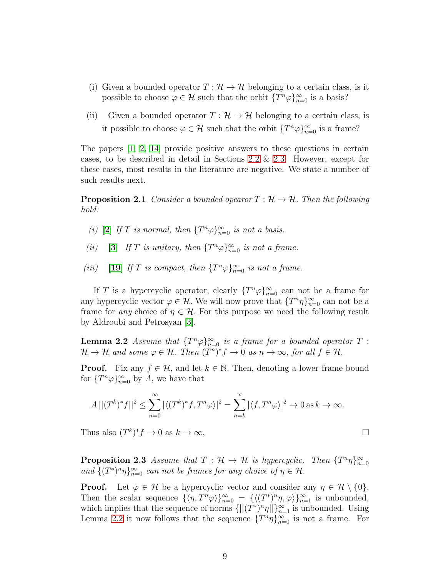- (i) Given a bounded operator  $T : \mathcal{H} \to \mathcal{H}$  belonging to a certain class, is it possible to choose  $\varphi \in \mathcal{H}$  such that the orbit  $\{T^n \varphi\}_{n=0}^{\infty}$  is a basis?
- (ii) Given a bounded operator  $T : \mathcal{H} \to \mathcal{H}$  belonging to a certain class, is it possible to choose  $\varphi \in \mathcal{H}$  such that the orbit  $\{T^n \varphi\}_{n=0}^{\infty}$  is a frame?

The papers [\[1,](#page-19-5) [2,](#page-19-6) [14\]](#page-20-0) provide positive answers to these questions in certain cases, to be described in detail in Sections [2.2](#page-9-0)  $\&$  [2.3.](#page-10-0) However, except for these cases, most results in the literature are negative. We state a number of such results next.

**Proposition 2.1** Consider a bounded opearor  $T : \mathcal{H} \to \mathcal{H}$ . Then the following hold:

- (i) [\[2\]](#page-19-6) If T is normal, then  $\{T^n\varphi\}_{n=0}^{\infty}$  is not a basis.
- (ii) [\[3\]](#page-19-7) If T is unitary, then  $\{T^n\varphi\}_{n=0}^{\infty}$  is not a frame.
- (iii) [\[19\]](#page-20-6) If T is compact, then  $\{T^n\varphi\}_{n=0}^{\infty}$  is not a frame.

If T is a hypercyclic operator, clearly  $\{T^n\varphi\}_{n=0}^{\infty}$  can not be a frame for any hypercyclic vector  $\varphi \in \mathcal{H}$ . We will now prove that  $\{T^n \eta\}_{n=0}^{\infty}$  can not be a frame for any choice of  $\eta \in \mathcal{H}$ . For this purpose we need the following result by Aldroubi and Petrosyan [\[3\]](#page-19-7).

<span id="page-8-0"></span>**Lemma 2.2** Assume that  $\{T^n\varphi\}_{n=0}^{\infty}$  is a frame for a bounded operator T:  $\mathcal{H} \to \mathcal{H}$  and some  $\varphi \in \mathcal{H}$ . Then  $(T^n)^* f \to 0$  as  $n \to \infty$ , for all  $f \in \mathcal{H}$ .

**Proof.** Fix any  $f \in \mathcal{H}$ , and let  $k \in \mathbb{N}$ . Then, denoting a lower frame bound for  $\{T^n\varphi\}_{n=0}^{\infty}$  by A, we have that

$$
A || (T^k)^* f ||^2 \le \sum_{n=0}^{\infty} |\langle (T^k)^* f, T^n \varphi \rangle|^2 = \sum_{n=k}^{\infty} |\langle f, T^n \varphi \rangle|^2 \to 0 \text{ as } k \to \infty.
$$

Thus also  $(T^k)^* f \to 0$  as  $k \to \infty$ ,

**Proposition 2.3** Assume that  $T : \mathcal{H} \to \mathcal{H}$  is hypercyclic. Then  ${T^n \eta}_{n=0}^{\infty}$ and  $\{(T^*)^n\eta\}_{n=0}^{\infty}$  can not be frames for any choice of  $\eta \in \mathcal{H}$ .

**Proof.** Let  $\varphi \in \mathcal{H}$  be a hypercyclic vector and consider any  $\eta \in \mathcal{H} \setminus \{0\}.$ Then the scalar sequence  $\{\langle \eta, T^n \varphi \rangle\}_{n=0}^{\infty} = \{\langle (T^*)^n \eta, \varphi \rangle\}_{n=1}^{\infty}$  is unbounded, which implies that the sequence of norms  $\{||(T^*)^n\eta||\}_{n=1}^{\infty}$  is unbounded. Using Lemma [2.2](#page-8-0) it now follows that the sequence  $\{T^n\eta\}_{n=0}^{\infty}$  is not a frame. For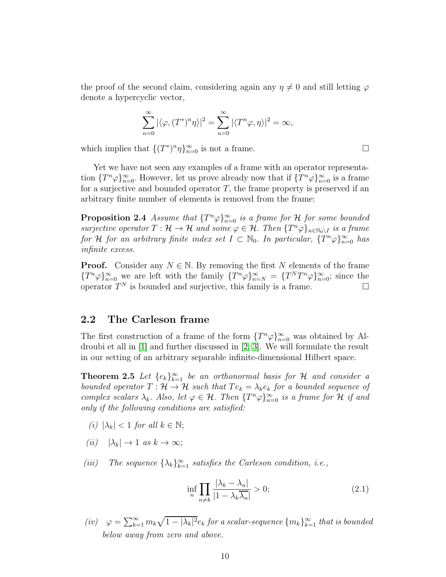the proof of the second claim, considering again any  $\eta \neq 0$  and still letting  $\varphi$ denote a hypercyclic vector,

$$
\sum_{n=0}^{\infty} |\langle \varphi, (T^*)^n \eta \rangle|^2 = \sum_{n=0}^{\infty} |\langle T^n \varphi, \eta \rangle|^2 = \infty,
$$

which implies that  $\{(T^*)^n \eta\}_{n=0}^{\infty}$  is not a frame.

Yet we have not seen any examples of a frame with an operator representation  $\{T^n\varphi\}_{n=0}^{\infty}$ . However, let us prove already now that if  $\{T^n\varphi\}_{n=0}^{\infty}$  is a frame for a surjective and bounded operator  $T$ , the frame property is preserved if an arbitrary finite number of elements is removed from the frame:

<span id="page-9-3"></span>**Proposition 2.4** Assume that  $\{T^n\varphi\}_{n=0}^{\infty}$  is a frame for H for some bounded surjective operator  $T: \mathcal{H} \to \mathcal{H}$  and some  $\varphi \in \mathcal{H}$ . Then  $\{T^n\varphi\}_{n \in \mathbb{N}_0 \setminus I}$  is a frame for H for an arbitrary finite index set  $I \subset \mathbb{N}_0$ . In particular,  $\{T^n\varphi\}_{n=0}^{\infty}$  has infinite excess.

**Proof.** Consider any  $N \in \mathbb{N}$ . By removing the first N elements of the frame  ${T^n \varphi}_{n=0}^{\infty}$  we are left with the family  ${T^n \varphi}_{n=N}^{\infty} = {T^n T^n \varphi}_{n=0}^{\infty}$ ; since the operator  $T^N$  is bounded and surjective, this family is a frame.

### <span id="page-9-0"></span>2.2 The Carleson frame

The first construction of a frame of the form  $\{T^n\varphi\}_{n=0}^{\infty}$  was obtained by Aldroubi et all in [\[1\]](#page-19-5) and further discussed in [\[2,](#page-19-6) [3\]](#page-19-7). We will formulate the result in our setting of an arbitrary separable infinite-dimensional Hilbert space.

<span id="page-9-1"></span>**Theorem 2.5** Let  $\{e_k\}_{k=1}^{\infty}$  be an orthonormal basis for H and consider a bounded operator  $T : \mathcal{H} \to \mathcal{H}$  such that  $Te_k = \lambda_k e_k$  for a bounded sequence of complex scalars  $\lambda_k$ . Also, let  $\varphi \in \mathcal{H}$ . Then  $\{T^n \varphi\}_{n=0}^{\infty}$  is a frame for  $\mathcal H$  if and only if the following conditions are satisfied:

- (i)  $|\lambda_k|$  < 1 for all  $k \in \mathbb{N}$ ;
- (ii)  $|\lambda_k| \to 1$  as  $k \to \infty$ ;
- (iii) The sequence  $\{\lambda_k\}_{k=1}^{\infty}$  satisfies the Carleson condition, i.e.,

<span id="page-9-2"></span>
$$
\inf_{n} \prod_{n \neq k} \frac{|\lambda_k - \lambda_n|}{|1 - \lambda_k \overline{\lambda_n}|} > 0; \tag{2.1}
$$

(iv)  $\varphi = \sum_{k=1}^{\infty} m_k \sqrt{1 - |\lambda_k|^2} e_k$  for a scalar-sequence  $\{m_k\}_{k=1}^{\infty}$  that is bounded below away from zero and above.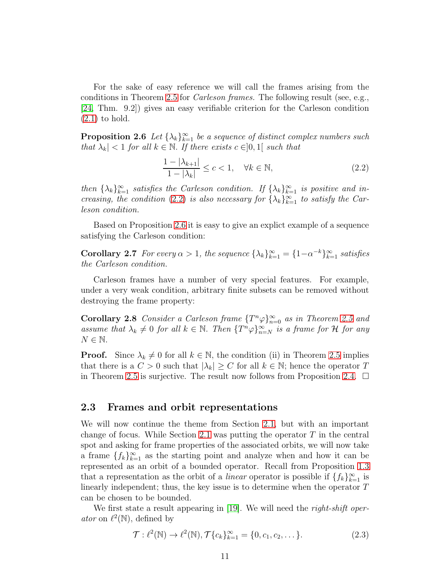For the sake of easy reference we will call the frames arising from the conditions in Theorem [2.5](#page-9-1) for Carleson frames. The following result (see, e.g., [\[24,](#page-20-7) Thm. 9.2]) gives an easy verifiable criterion for the Carleson condition [\(2.1\)](#page-9-2) to hold.

<span id="page-10-2"></span>**Proposition 2.6** Let  $\{\lambda_k\}_{k=1}^{\infty}$  be a sequence of distinct complex numbers such that  $\lambda_k$  | < 1 for all  $k \in \mathbb{N}$ . If there exists  $c \in ]0,1[$  such that

<span id="page-10-1"></span>
$$
\frac{1 - |\lambda_{k+1}|}{1 - |\lambda_k|} \le c < 1, \quad \forall k \in \mathbb{N},\tag{2.2}
$$

then  $\{\lambda_k\}_{k=1}^{\infty}$  satisfies the Carleson condition. If  $\{\lambda_k\}_{k=1}^{\infty}$  is positive and in-creasing, the condition [\(2.2\)](#page-10-1) is also necessary for  $\{\lambda_k\}_{k=1}^{\infty}$  to satisfy the Carleson condition.

Based on Proposition [2.6](#page-10-2) it is easy to give an explict example of a sequence satisfying the Carleson condition:

**Corollary 2.7** For every  $\alpha > 1$ , the sequence  $\{\lambda_k\}_{k=1}^{\infty} = \{1 - \alpha^{-k}\}_{k=1}^{\infty}$  satisfies the Carleson condition.

Carleson frames have a number of very special features. For example, under a very weak condition, arbitrary finite subsets can be removed without destroying the frame property:

**Corollary 2.8** Consider a Carleson frame  $\{T^n\varphi\}_{n=0}^{\infty}$  as in Theorem [2.5](#page-9-1) and assume that  $\lambda_k \neq 0$  for all  $k \in \mathbb{N}$ . Then  $\{T^n \varphi\}_{n=N}^{\infty}$  is a frame for  $\mathcal H$  for any  $N \in \mathbb{N}$ .

**Proof.** Since  $\lambda_k \neq 0$  for all  $k \in \mathbb{N}$ , the condition (ii) in Theorem [2.5](#page-9-1) implies that there is a  $C > 0$  such that  $|\lambda_k| \geq C$  for all  $k \in \mathbb{N}$ ; hence the operator T in Theorem [2.5](#page-9-1) is surjective. The result now follows from Proposition [2.4.](#page-9-3)  $\Box$ 

### <span id="page-10-0"></span>2.3 Frames and orbit representations

We will now continue the theme from Section [2.1,](#page-7-1) but with an important change of focus. While Section [2.1](#page-7-1) was putting the operator  $T$  in the central spot and asking for frame properties of the associated orbits, we will now take a frame  $\{f_k\}_{k=1}^{\infty}$  as the starting point and analyze when and how it can be represented as an orbit of a bounded operator. Recall from Proposition [1.3](#page-1-0) that a representation as the orbit of a *linear* operator is possible if  $\{f_k\}_{k=1}^{\infty}$  is linearly independent; thus, the key issue is to determine when the operator T can be chosen to be bounded.

<span id="page-10-3"></span>We first state a result appearing in [\[19\]](#page-20-6). We will need the *right-shift operator* on  $\ell^2(\mathbb{N})$ , defined by

$$
\mathcal{T}: \ell^2(\mathbb{N}) \to \ell^2(\mathbb{N}), \mathcal{T}\{c_k\}_{k=1}^{\infty} = \{0, c_1, c_2, \dots\}.
$$
 (2.3)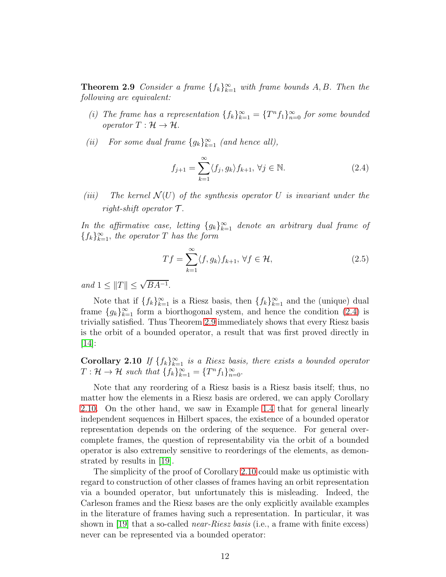**Theorem 2.9** Consider a frame  $\{f_k\}_{k=1}^{\infty}$  with frame bounds A, B. Then the following are equivalent:

- (i) The frame has a representation  $\{f_k\}_{k=1}^{\infty} = \{T^n f_1\}_{n=0}^{\infty}$  for some bounded operator  $T: \mathcal{H} \to \mathcal{H}$ .
- (ii) For some dual frame  ${g_k}_{k=1}^{\infty}$  (and hence all),

<span id="page-11-0"></span>
$$
f_{j+1} = \sum_{k=1}^{\infty} \langle f_j, g_k \rangle f_{k+1}, \forall j \in \mathbb{N}.
$$
 (2.4)

(iii) The kernel  $\mathcal{N}(U)$  of the synthesis operator U is invariant under the right-shift operator  $\mathcal T$ .

In the affirmative case, letting  ${g_k}_{k=1}^{\infty}$  denote an arbitrary dual frame of  ${f_k}_{k=1}^{\infty}$ , the operator T has the form

$$
Tf = \sum_{k=1}^{\infty} \langle f, g_k \rangle f_{k+1}, \forall f \in \mathcal{H}, \tag{2.5}
$$

and  $1 \leq ||T|| \leq \sqrt{BA^{-1}}$ .

Note that if  $\{f_k\}_{k=1}^{\infty}$  is a Riesz basis, then  $\{f_k\}_{k=1}^{\infty}$  and the (unique) dual frame  ${g_k}_{k=1}^{\infty}$  form a biorthogonal system, and hence the condition [\(2.4\)](#page-11-0) is trivially satisfied. Thus Theorem [2.9](#page-10-3) immediately shows that every Riesz basis is the orbit of a bounded operator, a result that was first proved directly in [\[14\]](#page-20-0):

<span id="page-11-1"></span>**Corollary 2.10** If  $\{f_k\}_{k=1}^{\infty}$  is a Riesz basis, there exists a bounded operator  $T: \mathcal{H} \to \mathcal{H}$  such that  $\{f_k\}_{k=1}^{\infty} = \{T^n f_1\}_{n=0}^{\infty}$ .

Note that any reordering of a Riesz basis is a Riesz basis itself; thus, no matter how the elements in a Riesz basis are ordered, we can apply Corollary [2.10.](#page-11-1) On the other hand, we saw in Example [1.4](#page-2-1) that for general linearly independent sequences in Hilbert spaces, the existence of a bounded operator representation depends on the ordering of the sequence. For general overcomplete frames, the question of representability via the orbit of a bounded operator is also extremely sensitive to reorderings of the elements, as demonstrated by results in [\[19\]](#page-20-6).

The simplicity of the proof of Corollary [2.10](#page-11-1) could make us optimistic with regard to construction of other classes of frames having an orbit representation via a bounded operator, but unfortunately this is misleading. Indeed, the Carleson frames and the Riesz bases are the only explicitly available examples in the literature of frames having such a representation. In particular, it was shown in [\[19\]](#page-20-6) that a so-called *near-Riesz basis* (i.e., a frame with finite excess) never can be represented via a bounded operator: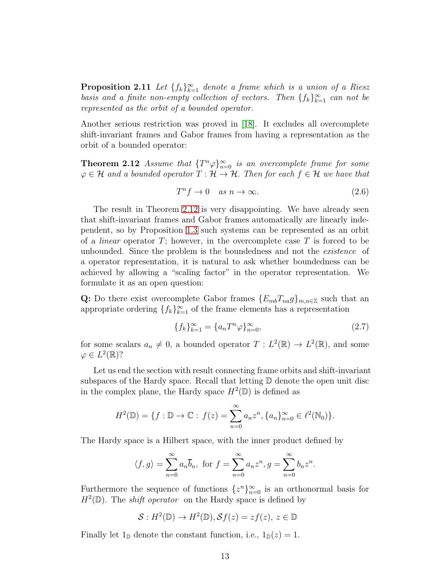**Proposition 2.11** Let  $\{f_k\}_{k=1}^{\infty}$  denote a frame which is a union of a Riesz basis and a finite non-empty collection of vectors. Then  $\{f_k\}_{k=1}^{\infty}$  can not be represented as the orbit of a bounded operator.

Another serious restriction was proved in [\[18\]](#page-20-8). It excludes all overcomplete shift-invariant frames and Gabor frames from having a representation as the orbit of a bounded operator:

<span id="page-12-0"></span>**Theorem 2.12** Assume that  $\{T^n\varphi\}_{n=0}^{\infty}$  is an overcomplete frame for some  $\varphi \in \mathcal{H}$  and a bounded operator  $T : \mathcal{H} \to \mathcal{H}$ . Then for each  $f \in \mathcal{H}$  we have that

$$
T^n f \to 0 \quad as \quad n \to \infty. \tag{2.6}
$$

The result in Theorem [2.12](#page-12-0) is very disappointing. We have already seen that shift-invariant frames and Gabor frames automatically are linearly independent, so by Proposition [1.3](#page-1-0) such systems can be represented as an orbit of a *linear* operator  $T$ ; however, in the overcomplete case  $T$  is forced to be unbounded. Since the problem is the boundedness and not the existence of a operator representation, it is natural to ask whether boundedness can be achieved by allowing a "scaling factor" in the operator representation. We formulate it as an open question:

Q: Do there exist overcomplete Gabor frames  ${E_{mb}}_{na} g_{mn} \in \mathbb{Z}$  such that an appropriate ordering  $\{f_k\}_{k=1}^{\infty}$  of the frame elements has a representation

$$
\{f_k\}_{k=1}^{\infty} = \{a_n T^n \varphi\}_{n=0}^{\infty},\tag{2.7}
$$

for some scalars  $a_n \neq 0$ , a bounded operator  $T : L^2(\mathbb{R}) \to L^2(\mathbb{R})$ , and some  $\varphi \in L^2(\mathbb{R})$ ?

Let us end the section with result connecting frame orbits and shift-invariant subspaces of the Hardy space. Recall that letting  $\mathbb D$  denote the open unit disc in the complex plane, the Hardy space  $H^2(\mathbb{D})$  is defined as

$$
H^{2}(\mathbb{D}) = \{f : \mathbb{D} \to \mathbb{C} : f(z) = \sum_{n=0}^{\infty} a_{n} z^{n}, \{a_{n}\}_{n=0}^{\infty} \in \ell^{2}(\mathbb{N}_{0})\}.
$$

The Hardy space is a Hilbert space, with the inner product defined by

$$
\langle f, g \rangle = \sum_{n=0}^{\infty} a_n \overline{b}_n
$$
, for  $f = \sum_{n=0}^{\infty} a_n z^n$ ,  $g = \sum_{n=0}^{\infty} b_n z^n$ .

Furthermore the sequence of functions  $\{z^n\}_{n=0}^{\infty}$  is an orthonormal basis for  $H^2(\mathbb{D})$ . The *shift operator* on the Hardy space is defined by

$$
\mathcal{S}: H^2(\mathbb{D}) \to H^2(\mathbb{D}), \mathcal{S}f(z) = zf(z), z \in \mathbb{D}
$$

<span id="page-12-1"></span>Finally let  $1_{\mathbb{D}}$  denote the constant function, i.e.,  $1_{\mathbb{D}}(z) = 1$ .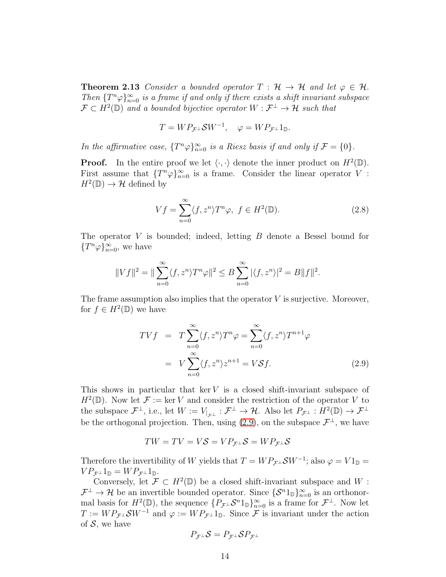**Theorem 2.13** Consider a bounded operator  $T : \mathcal{H} \to \mathcal{H}$  and let  $\varphi \in \mathcal{H}$ . Then  ${T^n \varphi}_{n=0}^{\infty}$  is a frame if and only if there exists a shift invariant subspace  $\mathcal{F} \subset H^2(\mathbb{D})$  and a bounded bijective operator  $W : \mathcal{F}^\perp \to \mathcal{H}$  such that

$$
T = W P_{\mathcal{F}^{\perp}} \mathcal{S} W^{-1}, \quad \varphi = W P_{\mathcal{F}^{\perp}} \mathbb{1}_{\mathbb{D}}.
$$

In the affirmative case,  $\{T^n\varphi\}_{n=0}^{\infty}$  is a Riesz basis if and only if  $\mathcal{F} = \{0\}$ .

**Proof.** In the entire proof we let  $\langle \cdot, \cdot \rangle$  denote the inner product on  $H^2(\mathbb{D})$ . First assume that  $\{T^n\varphi\}_{n=0}^{\infty}$  is a frame. Consider the linear operator V:  $H^2(\mathbb{D}) \to \mathcal{H}$  defined by

$$
Vf = \sum_{n=0}^{\infty} \langle f, z^n \rangle T^n \varphi, \ f \in H^2(\mathbb{D}). \tag{2.8}
$$

The operator  $V$  is bounded; indeed, letting  $B$  denote a Bessel bound for  ${T^n \varphi}_{n=0}^{\infty}$ , we have

$$
||Vf||2 = ||\sum_{n=0}^{\infty} \langle f, z^n \rangle T^n \varphi||2 \leq B \sum_{n=0}^{\infty} |\langle f, z^n \rangle|2 = B||f||2.
$$

The frame assumption also implies that the operator  $V$  is surjective. Moreover, for  $f \in H^2(\mathbb{D})$  we have

<span id="page-13-0"></span>
$$
TVf = T \sum_{n=0}^{\infty} \langle f, z^n \rangle T^n \varphi = \sum_{n=0}^{\infty} \langle f, z^n \rangle T^{n+1} \varphi
$$
  
=  $V \sum_{n=0}^{\infty} \langle f, z^n \rangle z^{n+1} = V \mathcal{S} f.$  (2.9)

This shows in particular that ker  $V$  is a closed shift-invariant subspace of  $H^2(\mathbb{D})$ . Now let  $\mathcal{F} := \ker V$  and consider the restriction of the operator V to the subspace  $\mathcal{F}^{\perp}$ , i.e., let  $W := V_{|_{\mathcal{F}^{\perp}}} : \mathcal{F}^{\perp} \to \mathcal{H}$ . Also let  $P_{\mathcal{F}^{\perp}} : H^2(\mathbb{D}) \to \mathcal{F}^{\perp}$ be the orthogonal projection. Then, using  $(2.9)$ , on the subspace  $\mathcal{F}^{\perp}$ , we have

$$
TW = TV = VS = VP_{\mathcal{F}^{\perp}}\mathcal{S} = WP_{\mathcal{F}^{\perp}}\mathcal{S}
$$

Therefore the invertibility of W yields that  $T = WP_{\mathcal{F}^{\perp}}\mathcal{S}W^{-1}$ ; also  $\varphi = V1_{\mathbb{D}} =$  $VP_{\mathcal{F}^{\perp}}1_{\mathbb{D}}=WP_{\mathcal{F}^{\perp}}1_{\mathbb{D}}.$ 

Conversely, let  $\mathcal{F} \subset H^2(\mathbb{D})$  be a closed shift-invariant subspace and W:  $\mathcal{F}^{\perp} \to \mathcal{H}$  be an invertible bounded operator. Since  $\{\mathcal{S}^n 1_{\mathbb{D}}\}_{n=0}^{\infty}$  is an orthonormal basis for  $H^2(\mathbb{D})$ , the sequence  $\{P_{\mathcal{F}^{\perp}}\mathcal{S}^n1_{\mathbb{D}}\}_{n=0}^{\infty}$  is a frame for  $\mathcal{F}^{\perp}$ . Now let  $T := WP_{\mathcal{F}^{\perp}}\mathcal{S}W^{-1}$  and  $\varphi := WP_{\mathcal{F}^{\perp}}1_{\mathbb{D}}$ . Since  $\mathcal F$  is invariant under the action of  $S$ , we have

$$
P_{\mathcal{F}^\perp} \mathcal{S} = P_{\mathcal{F}^\perp} \mathcal{S} P_{\mathcal{F}^\perp}
$$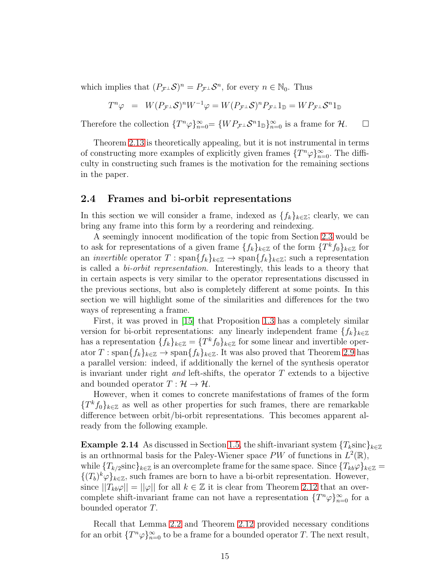which implies that  $(P_{\mathcal{F}^{\perp}}\mathcal{S})^n = P_{\mathcal{F}^{\perp}}\mathcal{S}^n$ , for every  $n \in \mathbb{N}_0$ . Thus

$$
T^n \varphi = W(P_{\mathcal{F}^{\perp}} \mathcal{S})^n W^{-1} \varphi = W(P_{\mathcal{F}^{\perp}} \mathcal{S})^n P_{\mathcal{F}^{\perp}} 1_{\mathbb{D}} = W P_{\mathcal{F}^{\perp}} \mathcal{S}^n 1_{\mathbb{D}}
$$

Therefore the collection  $\{T^n\varphi\}_{n=0}^{\infty} = \{WP_{\mathcal{F}^{\perp}}\mathcal{S}^n1_{\mathbb{D}}\}_{n=0}^{\infty}$  is a frame for  $\mathcal{H}$ .  $\Box$ 

Theorem [2.13](#page-12-1) is theoretically appealing, but it is not instrumental in terms of constructing more examples of explicitly given frames  $\{T^n\varphi\}_{n=0}^{\infty}$ . The difficulty in constructing such frames is the motivation for the remaining sections in the paper.

### <span id="page-14-0"></span>2.4 Frames and bi-orbit representations

In this section we will consider a frame, indexed as  $\{f_k\}_{k\in\mathbb{Z}}$ ; clearly, we can bring any frame into this form by a reordering and reindexing.

A seemingly innocent modification of the topic from Section [2.3](#page-10-0) would be to ask for representations of a given frame  $\{f_k\}_{k\in\mathbb{Z}}$  of the form  $\{T^k f_0\}_{k\in\mathbb{Z}}$  for an *invertible* operator  $T : \text{span}\{f_k\}_{k\in\mathbb{Z}} \to \text{span}\{f_k\}_{k\in\mathbb{Z}}$ ; such a representation is called a bi-orbit representation. Interestingly, this leads to a theory that in certain aspects is very similar to the operator representations discussed in the previous sections, but also is completely different at some points. In this section we will highlight some of the similarities and differences for the two ways of representing a frame.

First, it was proved in [\[15\]](#page-20-9) that Proposition [1.3](#page-1-0) has a completely similar version for bi-orbit representations: any linearly independent frame  $\{f_k\}_{k\in\mathbb{Z}}$ has a representation  $\{f_k\}_{k\in\mathbb{Z}} = \{T^k f_0\}_{k\in\mathbb{Z}}$  for some linear and invertible operator  $T : \text{span}{f_k}_{k \in \mathbb{Z}} \to \text{span}{f_k}_{k \in \mathbb{Z}}$ . It was also proved that Theorem [2.9](#page-10-3) has a parallel version: indeed, if additionally the kernel of the synthesis operator is invariant under right *and* left-shifts, the operator  $T$  extends to a bijective and bounded operator  $T : \mathcal{H} \to \mathcal{H}$ .

However, when it comes to concrete manifestations of frames of the form  ${T<sup>k</sup> f<sub>0</sub>}<sub>k∈Z</sub>$  as well as other properties for such frames, there are remarkable difference between orbit/bi-orbit representations. This becomes apparent already from the following example.

**Example 2.14** As discussed in Section [1.5,](#page-6-1) the shift-invariant system  ${T_k \sinh k_{\epsilon Z}}$ is an orthnormal basis for the Paley-Wiener space PW of functions in  $L^2(\mathbb{R})$ , while  ${T_{k/2} \text{sinc}}_{k \in \mathbb{Z}}$  is an overcomplete frame for the same space. Since  ${T_{kb}\varphi}_{k \in \mathbb{Z}} =$  $\{(T_b)^k \varphi\}_{k\in\mathbb{Z}}$ , such frames are born to have a bi-orbit representation. However, since  $||T_{kb}\varphi|| = ||\varphi||$  for all  $k \in \mathbb{Z}$  it is clear from Theorem [2.12](#page-12-0) that an overcomplete shift-invariant frame can not have a representation  $\{T^n\varphi\}_{n=0}^{\infty}$  for a bounded operator T.

Recall that Lemma [2.2](#page-8-0) and Theorem [2.12](#page-12-0) provided necessary conditions for an orbit  $\{T^n\varphi\}_{n=0}^{\infty}$  to be a frame for a bounded operator T. The next result,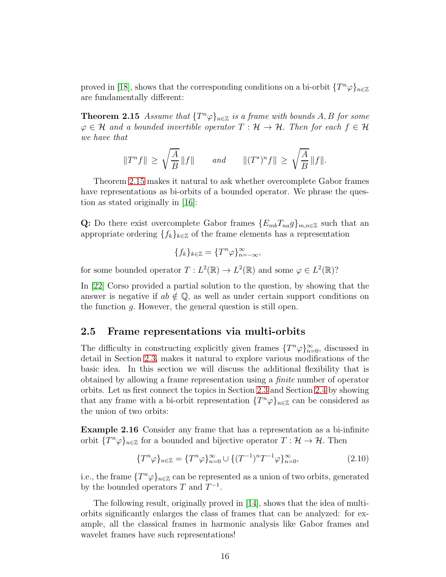<span id="page-15-0"></span>proved in [\[18\]](#page-20-8), shows that the corresponding conditions on a bi-orbit  $\{T^n\varphi\}_{n\in\mathbb{Z}}$ are fundamentally different:

**Theorem 2.15** Assume that  $\{T^n\varphi\}_{n\in\mathbb{Z}}$  is a frame with bounds A, B for some  $\varphi \in \mathcal{H}$  and a bounded invertible operator  $T : \mathcal{H} \to \mathcal{H}$ . Then for each  $f \in \mathcal{H}$ we have that

$$
||T^n f|| \ge \sqrt{\frac{A}{B}} ||f||
$$
 and  $||(T^*)^n f|| \ge \sqrt{\frac{A}{B}} ||f||.$ 

Theorem [2.15](#page-15-0) makes it natural to ask whether overcomplete Gabor frames have representations as bi-orbits of a bounded operator. We phrase the question as stated originally in [\[16\]](#page-20-10):

Q: Do there exist overcomplete Gabor frames  ${E_{mb}}T_{na}g_{mn} \in \mathbb{Z}$  such that an appropriate ordering  $\{f_k\}_{k\in\mathbb{Z}}$  of the frame elements has a representation

$$
\{f_k\}_{k\in\mathbb{Z}}=\{T^n\varphi\}_{n=-\infty}^\infty,
$$

for some bounded operator  $T: L^2(\mathbb{R}) \to L^2(\mathbb{R})$  and some  $\varphi \in L^2(\mathbb{R})$ ?

In [\[22\]](#page-20-11) Corso provided a partial solution to the question, by showing that the answer is negative if  $ab \notin \mathbb{Q}$ , as well as under certain support conditions on the function g. However, the general question is still open.

### 2.5 Frame representations via multi-orbits

The difficulty in constructing explicitly given frames  $\{T^n\varphi\}_{n=0}^{\infty}$ , discussed in detail in Section [2.3,](#page-10-0) makes it natural to explore various modifications of the basic idea. In this section we will discuss the additional flexibility that is obtained by allowing a frame representation using a finite number of operator orbits. Let us first connect the topics in Section [2.3](#page-10-0) and Section [2.4](#page-14-0) by showing that any frame with a bi-orbit representation  $\{T^n\varphi\}_{n\in\mathbb{Z}}$  can be considered as the union of two orbits:

Example 2.16 Consider any frame that has a representation as a bi-infinite orbit  $\{T^n\varphi\}_{n\in\mathbb{Z}}$  for a bounded and bijective operator  $T: \mathcal{H} \to \mathcal{H}$ . Then

$$
\{T^n \varphi\}_{n \in \mathbb{Z}} = \{T^n \varphi\}_{n=0}^{\infty} \cup \{(T^{-1})^n T^{-1} \varphi\}_{n=0}^{\infty},\tag{2.10}
$$

i.e., the frame  $\{T^n\varphi\}_{n\in\mathbb{Z}}$  can be represented as a union of two orbits, generated by the bounded operators T and  $T^{-1}$ .

<span id="page-15-1"></span>The following result, originally proved in [\[14\]](#page-20-0), shows that the idea of multiorbits significantly enlarges the class of frames that can be analyzed: for example, all the classical frames in harmonic analysis like Gabor frames and wavelet frames have such representations!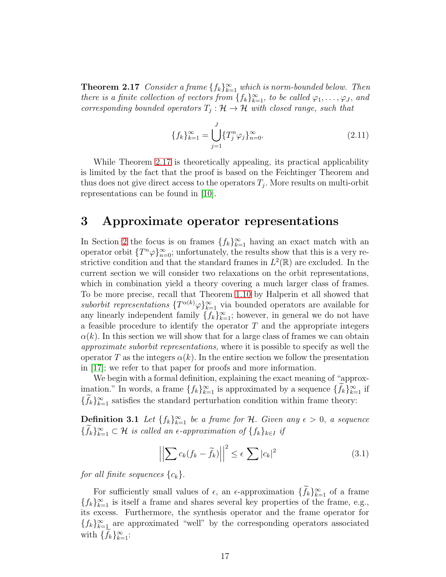**Theorem 2.17** Consider a frame  $\{f_k\}_{k=1}^{\infty}$  which is norm-bounded below. Then there is a finite collection of vectors from  $\{f_k\}_{k=1}^{\infty}$ , to be called  $\varphi_1, \ldots, \varphi_J$ , and corresponding bounded operators  $T_j: \mathcal{H} \to \mathcal{H}$  with closed range, such that

$$
\{f_k\}_{k=1}^{\infty} = \bigcup_{j=1}^{J} \{T_j^n \varphi_j\}_{n=0}^{\infty}.
$$
\n(2.11)

While Theorem [2.17](#page-15-1) is theoretically appealing, its practical applicability is limited by the fact that the proof is based on the Feichtinger Theorem and thus does not give direct access to the operators  $T_j$ . More results on multi-orbit representations can be found in [\[10\]](#page-19-8).

### <span id="page-16-0"></span>3 Approximate operator representations

In Section [2](#page-7-0) the focus is on frames  $\{f_k\}_{k=1}^{\infty}$  having an exact match with an operator orbit  $\{T^n\varphi\}_{n=0}^{\infty}$ ; unfortunately, the results show that this is a very restrictive condition and that the standard frames in  $L^2(\mathbb{R})$  are excluded. In the current section we will consider two relaxations on the orbit representations, which in combination yield a theory covering a much larger class of frames. To be more precise, recall that Theorem [1.10](#page-4-0) by Halperin et all showed that suborbit representations  $\{T^{\alpha(k)}\varphi\}_{k=1}^{\infty}$  via bounded operators are available for any linearly independent family  $\{f_k\}_{k=1}^{\infty}$ ; however, in general we do not have a feasible procedure to identify the operator  $T$  and the appropriate integers  $\alpha(k)$ . In this section we will show that for a large class of frames we can obtain approximate suborbit representations, where it is possible to specify as well the operator T as the integers  $\alpha(k)$ . In the entire section we follow the presentation in [\[17\]](#page-20-12); we refer to that paper for proofs and more information.

We begin with a formal definition, explaining the exact meaning of "approximation." In words, a frame  $\{f_k\}_{k=1}^{\infty}$  is approximated by a sequence  $\{f_k\}_{k=1}^{\infty}$  if  $\{f_k\}_{k=1}^{\infty}$  satisfies the standard perturbation condition within frame theory:

<span id="page-16-2"></span>**Definition 3.1** Let  $\{f_k\}_{k=1}^{\infty}$  be a frame for H. Given any  $\epsilon > 0$ , a sequence  $\{f_k\}_{k=1}^{\infty} \subset \mathcal{H}$  is called an  $\epsilon$ -approximation of  $\{f_k\}_{k\in I}$  if

<span id="page-16-1"></span>
$$
\left| \left| \sum c_k (f_k - \widetilde{f}_k) \right| \right|^2 \le \epsilon \sum |c_k|^2 \tag{3.1}
$$

for all finite sequences  $\{c_k\}.$ 

<span id="page-16-3"></span>For sufficiently small values of  $\epsilon$ , an  $\epsilon$ -approximation  $\{f_k\}_{k=1}^{\infty}$  of a frame  ${f_k}_{k=1}^{\infty}$  is itself a frame and shares several key properties of the frame, e.g., its excess. Furthermore, the synthesis operator and the frame operator for  ${f_k}_{k=1}^{\infty}$  are approximated "well" by the corresponding operators associated with  $\{f_k\}_{k=1}^{\infty}$ :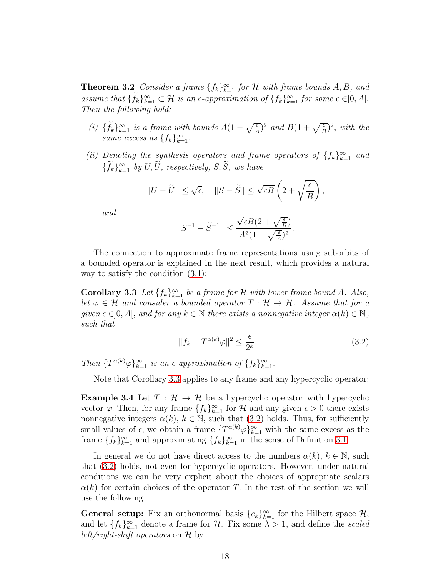**Theorem 3.2** Consider a frame  $\{f_k\}_{k=1}^{\infty}$  for H with frame bounds A, B, and assume that  $\{f_k\}_{k=1}^{\infty} \subset \mathcal{H}$  is an  $\epsilon$ -approximation of  $\{f_k\}_{k=1}^{\infty}$  for some  $\epsilon \in ]0, A[$ . Then the following hold:

- (i)  $\{\widetilde{f}_k\}_{k=1}^{\infty}$  is a frame with bounds  $A(1-\sqrt{\frac{\epsilon}{A}})^2$  and  $B(1+\sqrt{\frac{\epsilon}{B}})^2$ , with the same excess as  $\{f_k\}_{k=1}^{\infty}$ .
- (ii) Denoting the synthesis operators and frame operators of  $\{f_k\}_{k=1}^{\infty}$  and  $\{\hat{f}_k\}_{k=1}^{\infty}$  by  $U, \overline{U}$ , respectively,  $S, \overline{S}$ , we have

$$
||U - \widetilde{U}|| \le \sqrt{\epsilon}, \quad ||S - \widetilde{S}|| \le \sqrt{\epsilon B} \left(2 + \sqrt{\frac{\epsilon}{B}}\right),
$$

and

$$
\|S^{-1}-\widetilde{S}^{-1}\|\leq \frac{\sqrt{\epsilon B}(2+\sqrt{\frac{\epsilon}{B}})}{A^2(1-\sqrt{\frac{\epsilon}{A}})^2}.
$$

The connection to approximate frame representations using suborbits of a bounded operator is explained in the next result, which provides a natural way to satisfy the condition  $(3.1)$ :

<span id="page-17-0"></span>**Corollary 3.3** Let  $\{f_k\}_{k=1}^{\infty}$  be a frame for H with lower frame bound A. Also, let  $\varphi \in \mathcal{H}$  and consider a bounded operator  $T : \mathcal{H} \to \mathcal{H}$ . Assume that for a given  $\epsilon \in ]0, A[$ , and for any  $k \in \mathbb{N}$  there exists a nonnegative integer  $\alpha(k) \in \mathbb{N}_0$ such that

<span id="page-17-1"></span>
$$
||f_k - T^{\alpha(k)}\varphi||^2 \le \frac{\epsilon}{2^k}.
$$
\n(3.2)

Then  $\{T^{\alpha(k)}\varphi\}_{k=1}^{\infty}$  is an  $\epsilon$ -approximation of  $\{f_k\}_{k=1}^{\infty}$ .

Note that Corollary [3.3](#page-17-0) applies to any frame and any hypercyclic operator:

**Example 3.4** Let  $T : \mathcal{H} \to \mathcal{H}$  be a hypercyclic operator with hypercyclic vector  $\varphi$ . Then, for any frame  $\{f_k\}_{k=1}^{\infty}$  for H and any given  $\epsilon > 0$  there exists nonnegative integers  $\alpha(k)$ ,  $k \in \mathbb{N}$ , such that [\(3.2\)](#page-17-1) holds. Thus, for sufficiently small values of  $\epsilon$ , we obtain a frame  $\{T^{\alpha(k)}\varphi\}_{k=1}^{\infty}$  with the same excess as the frame  $\{f_k\}_{k=1}^{\infty}$  and approximating  $\{f_k\}_{k=1}^{\infty}$  in the sense of Definition [3.1.](#page-16-2)

In general we do not have direct access to the numbers  $\alpha(k)$ ,  $k \in \mathbb{N}$ , such that [\(3.2\)](#page-17-1) holds, not even for hypercyclic operators. However, under natural conditions we can be very explicit about the choices of appropriate scalars  $\alpha(k)$  for certain choices of the operator T. In the rest of the section we will use the following

**General setup:** Fix an orthonormal basis  $\{e_k\}_{k=1}^{\infty}$  for the Hilbert space  $\mathcal{H}$ , and let  $\{f_k\}_{k=1}^{\infty}$  denote a frame for H. Fix some  $\lambda > 1$ , and define the scaled *left/right-shift operators* on  $\mathcal H$  by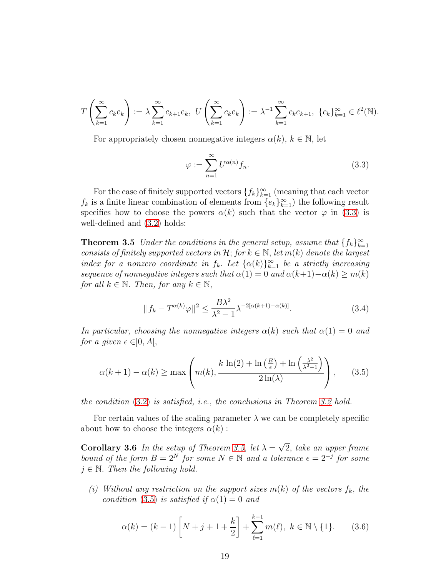$$
T\left(\sum_{k=1}^{\infty}c_{k}e_{k}\right):=\lambda\sum_{k=1}^{\infty}c_{k+1}e_{k}, U\left(\sum_{k=1}^{\infty}c_{k}e_{k}\right):=\lambda^{-1}\sum_{k=1}^{\infty}c_{k}e_{k+1}, \ \{c_{k}\}_{k=1}^{\infty}\in\ell^{2}(\mathbb{N}).
$$

For appropriately chosen nonnegative integers  $\alpha(k)$ ,  $k \in \mathbb{N}$ , let

<span id="page-18-0"></span>
$$
\varphi := \sum_{n=1}^{\infty} U^{\alpha(n)} f_n.
$$
\n(3.3)

For the case of finitely supported vectors  $\{f_k\}_{k=1}^{\infty}$  (meaning that each vector  $f_k$  is a finite linear combination of elements from  $\{e_k\}_{k=1}^{\infty}$  the following result specifies how to choose the powers  $\alpha(k)$  such that the vector  $\varphi$  in [\(3.3\)](#page-18-0) is well-defined and [\(3.2\)](#page-17-1) holds:

<span id="page-18-1"></span>**Theorem 3.5** Under the conditions in the general setup, assume that  $\{f_k\}_{k=1}^{\infty}$ consists of finitely supported vectors in  $\mathcal{H}$ ; for  $k \in \mathbb{N}$ , let  $m(k)$  denote the largest index for a nonzero coordinate in  $f_k$ . Let  $\{\alpha(k)\}_{k=1}^{\infty}$  be a strictly increasing sequence of nonnegative integers such that  $\alpha(1) = 0$  and  $\alpha(k+1) - \alpha(k) \ge m(k)$ for all  $k \in \mathbb{N}$ . Then, for any  $k \in \mathbb{N}$ ,

$$
||f_k - T^{\alpha(k)}\varphi||^2 \le \frac{B\lambda^2}{\lambda^2 - 1} \lambda^{-2[\alpha(k+1) - \alpha(k)]}.
$$
 (3.4)

In particular, choosing the nonnegative integers  $\alpha(k)$  such that  $\alpha(1) = 0$  and for a given  $\epsilon \in ]0, A[,$ 

<span id="page-18-2"></span>
$$
\alpha(k+1) - \alpha(k) \ge \max\left(m(k), \frac{k \ln(2) + \ln\left(\frac{B}{\epsilon}\right) + \ln\left(\frac{\lambda^2}{\lambda^2 - 1}\right)}{2\ln(\lambda)}\right),\tag{3.5}
$$

the condition  $(3.2)$  is satisfied, i.e., the conclusions in Theorem [3.2](#page-16-3) hold.

For certain values of the scaling parameter  $\lambda$  we can be completely specific about how to choose the integers  $\alpha(k)$ :

**Corollary 3.6** In the setup of Theorem [3.5,](#page-18-1) let  $\lambda = \sqrt{2}$ , take an upper frame bound of the form  $B = 2^N$  for some  $N \in \mathbb{N}$  and a tolerance  $\epsilon = 2^{-j}$  for some  $j \in \mathbb{N}$ . Then the following hold.

(i) Without any restriction on the support sizes  $m(k)$  of the vectors  $f_k$ , the condition [\(3.5\)](#page-18-2) is satisfied if  $\alpha(1) = 0$  and

$$
\alpha(k) = (k-1)\left[N+j+1+\frac{k}{2}\right] + \sum_{\ell=1}^{k-1} m(\ell), \ k \in \mathbb{N} \setminus \{1\}. \tag{3.6}
$$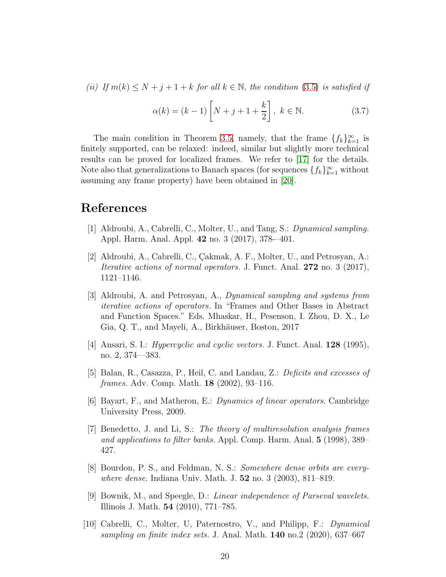(ii) If  $m(k) \leq N + j + 1 + k$  for all  $k \in \mathbb{N}$ , the condition [\(3.5\)](#page-18-2) is satisfied if

$$
\alpha(k) = (k-1)\left[N+j+1+\frac{k}{2}\right], \ k \in \mathbb{N}.
$$
 (3.7)

The main condition in Theorem [3.5,](#page-18-1) namely, that the frame  $\{f_k\}_{k=1}^{\infty}$  is finitely supported, can be relaxed: indeed, similar but slightly more technical results can be proved for localized frames. We refer to [\[17\]](#page-20-12) for the details. Note also that generalizations to Banach spaces (for sequences  $\{f_k\}_{k=1}^{\infty}$  without assuming any frame property) have been obtained in [\[20\]](#page-20-1).

### <span id="page-19-5"></span>References

- <span id="page-19-6"></span>[1] Aldroubi, A., Cabrelli, C., Molter, U., and Tang, S.: Dynamical sampling. Appl. Harm. Anal. Appl. 42 no. 3 (2017), 378-–401.
- [2] Aldroubi, A., Cabrelli, C., Cakmak, A. F., Molter, U., and Petrosyan, A.: *Iterative actions of normal operators.* J. Funct. Anal.  $272$  no. 3 (2017), 1121–1146.
- <span id="page-19-7"></span>[3] Aldroubi, A. and Petrosyan, A., Dynamical sampling and systems from iterative actions of operators. In "Frames and Other Bases in Abstract and Function Spaces." Eds. Mhaskar, H., Pesenson, I. Zhou, D. X., Le Gia, Q. T., and Mayeli, A., Birkhäuser, Boston, 2017
- <span id="page-19-3"></span><span id="page-19-1"></span>[4] Ansari, S. I.: Hypercyclic and cyclic vectors. J. Funct. Anal. 128 (1995), no. 2, 374—383.
- [5] Balan, R., Casazza, P., Heil, C. and Landau, Z.: Deficits and excesses of frames. Adv. Comp. Math. 18 (2002), 93–116.
- <span id="page-19-4"></span><span id="page-19-0"></span>[6] Bayart, F., and Matheron, E.: Dynamics of linear operators. Cambridge University Press, 2009.
- [7] Benedetto, J. and Li, S.: The theory of multiresolution analysis frames and applications to filter banks. Appl. Comp. Harm. Anal. 5 (1998), 389– 427.
- <span id="page-19-2"></span>[8] Bourdon, P. S., and Feldman, N. S.: Somewhere dense orbits are everywhere dense. Indiana Univ. Math. J. 52 no. 3 (2003), 811–819.
- [9] Bownik, M., and Speegle, D.: Linear independence of Parseval wavelets. Illinois J. Math. 54 (2010), 771–785.
- <span id="page-19-8"></span>[10] Cabrelli, C., Molter, U, Paternostro, V., and Philipp, F.: Dynamical sampling on finite index sets. J. Anal. Math.  $140$  no.2 (2020), 637–667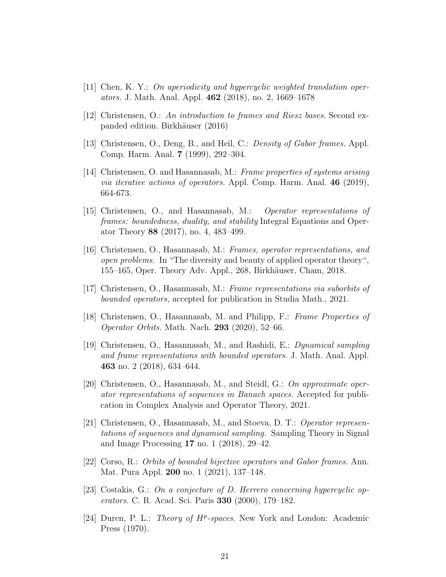- <span id="page-20-4"></span><span id="page-20-2"></span>[11] Chen, K. Y.: On aperiodicity and hypercyclic weighted translation operators. J. Math. Anal. Appl. 462 (2018), no. 2, 1669–1678
- <span id="page-20-5"></span>[12] Christensen, O.: An introduction to frames and Riesz bases. Second expanded edition. Birkhäuser (2016)
- <span id="page-20-0"></span>[13] Christensen, O., Deng, B., and Heil, C.: Density of Gabor frames. Appl. Comp. Harm. Anal. 7 (1999), 292–304.
- [14] Christensen, O. and Hasannasab, M.: Frame properties of systems arising *via iterative actions of operators.* Appl. Comp. Harm. Anal.  $46$  (2019), 664-673.
- <span id="page-20-9"></span>[15] Christensen, O., and Hasannasab, M.: Operator representations of frames: boundedness, duality, and stability Integral Equations and Operator Theory 88 (2017), no. 4, 483–499.
- <span id="page-20-10"></span>[16] Christensen, O., Hasannasab, M.: Frames, operator representations, and open problems. In "The diversity and beauty of applied operator theory", 155–165, Oper. Theory Adv. Appl., 268, Birkhäuser, Cham, 2018.
- <span id="page-20-12"></span><span id="page-20-8"></span>[17] Christensen, O., Hasannasab, M.: Frame representations via suborbits of bounded operators, accepted for publication in Studia Math., 2021.
- <span id="page-20-6"></span>[18] Christensen, O., Hasannasab, M. and Philipp, F.: Frame Properties of Operator Orbits. Math. Nach. 293 (2020), 52–66.
- [19] Christensen, O., Hasannasab, M., and Rashidi, E.: Dynamical sampling and frame representations with bounded operators. J. Math. Anal. Appl. 463 no. 2 (2018), 634–644.
- <span id="page-20-1"></span>[20] Christensen, O., Hasannasab, M., and Steidl, G.: On approximate operator representations of sequences in Banach spaces. Accepted for publication in Complex Analysis and Operator Theory, 2021.
- [21] Christensen, O., Hasannasab, M., and Stoeva, D. T.: Operator representations of sequences and dynamical sampling. Sampling Theory in Signal and Image Processing 17 no. 1 (2018), 29–42.
- <span id="page-20-11"></span>[22] Corso, R.: Orbits of bounded bijective operators and Gabor frames. Ann. Mat. Pura Appl. 200 no. 1 (2021), 137–148.
- <span id="page-20-3"></span>[23] Costakis, G.: On a conjecture of D. Herrero concerning hypercyclic operators. C. R. Acad. Sci. Paris 330 (2000), 179–182.
- <span id="page-20-7"></span>[24] Duren, P. L.: *Theory of*  $H^p$ *-spaces*. New York and London: Academic Press (1970).